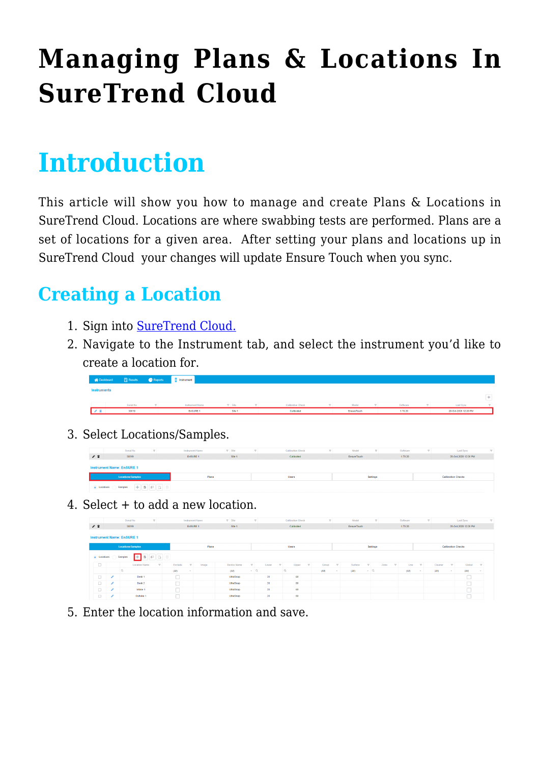# **[Managing Plans & Locations In](https://help.hygiena.com/kb-doc/managing-plans-locations-in-suretrend-cloud/) [SureTrend Cloud](https://help.hygiena.com/kb-doc/managing-plans-locations-in-suretrend-cloud/)**

## **Introduction**

This article will show you how to manage and create Plans & Locations in SureTrend Cloud. Locations are where swabbing tests are performed. Plans are a set of locations for a given area. After setting your plans and locations up in SureTrend Cloud your changes will update Ensure Touch when you sync.

#### **Creating a Location**

- 1. Sign into [SureTrend Cloud.](https://suretrend.hygiena.com/#!/)
- 2. Navigate to the Instrument tab, and select the instrument you'd like to create a location for.

|                    | A Dashboard <b>in Results C</b> Reports <b>E</b> Instrument |                        |               |                   |             |          |                      |  |
|--------------------|-------------------------------------------------------------|------------------------|---------------|-------------------|-------------|----------|----------------------|--|
| <b>Instruments</b> |                                                             |                        |               |                   |             |          |                      |  |
|                    |                                                             |                        |               |                   |             |          |                      |  |
|                    | Serial No.                                                  | <b>Instrument Name</b> | $\nabla$ Site | Calibration Check | Model       | Software | Last Sync            |  |
|                    | 38019                                                       | EnSURE 1               | Site 1        | Calibrated        | EnsureTouch | 1.70.20  | 20-Oct-2020 12:20 PM |  |

3. Select Locations/Samples.

|           | Serial No                        |     | <b>Instrument Name</b> | $\Psi$ Site | $\overline{\phantom{a}}$ | Calibration Check | Model       | $\sim$          | Software | Last Sync                 | $\sim$ |
|-----------|----------------------------------|-----|------------------------|-------------|--------------------------|-------------------|-------------|-----------------|----------|---------------------------|--------|
| ∕ 1       | 38019                            |     | EnSURE 1               | Site 1      |                          | Calibrated        | EnsureTouch |                 | 1.70.20  | 20-Oct-2020 12:20 PM      |        |
|           | <b>Instrument Name: EnSURE 1</b> |     |                        |             |                          |                   |             |                 |          |                           |        |
|           | Locations/Samples                |     | Plans                  |             |                          | <b>Users</b>      |             | <b>Settings</b> |          | <b>Calibration Checks</b> |        |
| Locations | Samples                          | 800 |                        |             |                          |                   |             |                 |          |                           |        |

4. Select + to add a new location.

|                   |                                            | $\mathbf{v}$<br>Serial No                |                          | <b>Instrument Name</b> | $\overline{Y}$ Site                    | $\sim$     |                       | <b>Calibration Check</b> |              | $\mathbf{v}$ |              | Model       |                 | $\mathbf{v}$ |                          | Software |              | $\sim$  |        | Last Sync                 | $\overline{\mathbf{v}}$ |
|-------------------|--------------------------------------------|------------------------------------------|--------------------------|------------------------|----------------------------------------|------------|-----------------------|--------------------------|--------------|--------------|--------------|-------------|-----------------|--------------|--------------------------|----------|--------------|---------|--------|---------------------------|-------------------------|
| " ∎               |                                            | 38019                                    |                          | EnSURE 1               | Site 1                                 |            |                       | Calibrated               |              |              |              | EnsureTouch |                 |              |                          | 1.70.20  |              |         |        | 20-Oct-2020 12:20 PM      |                         |
|                   |                                            | <b>Instrument Name: EnSURE 1</b>         |                          |                        |                                        |            |                       |                          |              |              |              |             |                 |              |                          |          |              |         |        |                           |                         |
|                   |                                            | <b>Locations/Samples</b>                 |                          | Plans                  |                                        |            |                       | Users                    |              |              |              |             | <b>Settings</b> |              |                          |          |              |         |        | <b>Calibration Checks</b> |                         |
|                   | 印<br>$\bullet$ Locations<br>Samples<br>- 1 |                                          |                          |                        |                                        |            |                       |                          |              |              |              |             |                 |              |                          |          |              |         |        |                           |                         |
| $\sim$            |                                            | Location Name<br>$\overline{\mathbf{v}}$ | <b>Exclude</b><br>$\sim$ | Image                  | $\overline{\mathbf{v}}$<br>Device Name |            | $\mathbf{v}$<br>Lower | Upper                    | $\mathbf{v}$ | Group        | $\mathbf{v}$ | Surface     | $\mathbf{v}$    | Zone         | $\overline{\phantom{a}}$ | Line     | $\mathbf{v}$ | Cleaner | $\sim$ | Global                    | $\overline{\mathbf{v}}$ |
|                   |                                            | $\alpha$                                 | (AII)<br>×               |                        | (A  )                                  | $\sqrt{a}$ |                       | $\alpha$                 |              | (AII)        | $\sim$       | (AII)       | $\sqrt{a}$      |              |                          | (AII)    | $\sim$       | (AII)   | $\sim$ | (AII)                     | $\sim$                  |
| <b>COLLECTION</b> |                                            | Desk 1                                   |                          |                        | <b>UltraSnap</b>                       |            | 20                    | 60                       |              |              |              |             |                 |              |                          |          |              |         |        | u                         |                         |
| $\Box$            |                                            | Desk 2                                   | n                        |                        | UltraSnap                              |            | 20                    | 60                       |              |              |              |             |                 |              |                          |          |              |         |        | $-$                       |                         |
| <b>COLLA</b>      |                                            | Intake 1                                 |                          |                        | <b>UltraSnap</b>                       |            | 20 <sub>1</sub>       | 60                       |              |              |              |             |                 |              |                          |          |              |         |        | $\sim$                    |                         |
|                   |                                            | Outtake 1                                |                          |                        | <b>UltraSnap</b>                       |            | 20                    | 60                       |              |              |              |             |                 |              |                          |          |              |         |        |                           |                         |

5. Enter the location information and save.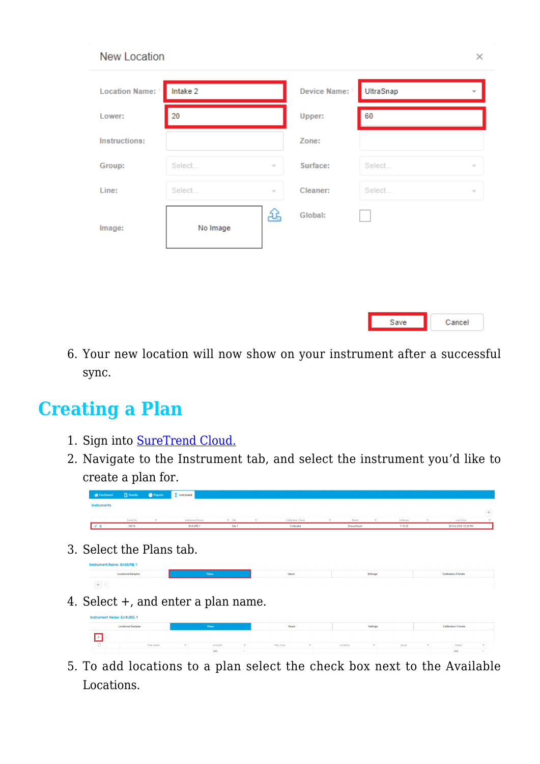| <b>Location Name:</b> * | Intake 2 |        | Device Name: * | UltraSnap                          |
|-------------------------|----------|--------|----------------|------------------------------------|
| Lower:                  | 20       |        | Upper:         | 60                                 |
| <b>Instructions:</b>    |          |        | Zone:          |                                    |
| Group:                  | Select   | $\sim$ | Surface:       | Select<br>$\gamma$                 |
| Line:                   | Select   | $\sim$ | Cleaner:       | Select<br>$\overline{\phantom{a}}$ |
| Image:                  | No Image | 쇼      | Global:        |                                    |
|                         |          |        |                |                                    |

6. Your new location will now show on your instrument after a successful sync.

Save

Cancel

#### **Creating a Plan**

New Location

- 1. Sign into [SureTrend Cloud.](https://suretrend.hygiena.com/#!/)
- 2. Navigate to the Instrument tab, and select the instrument you'd like to create a plan for.

3. Select the Plans tab.



4. Select +, and enter a plan name.



5. To add locations to a plan select the check box next to the Available Locations.

 $\bar{\mathbf{x}}$